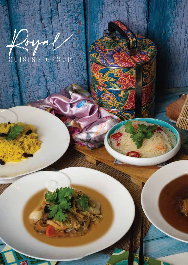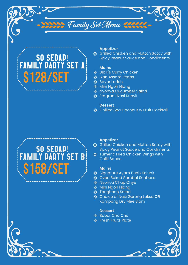## SO SEDAP! FAMILY PARTY SET A \$128/SET

#### **Appetizer**

**Somally Servilled Chicken and Mutton Satay with** Spicy Peanut Sauce and Condiments

### **Mains**

**Family Set Menu** 

- **※ Bibik's Curry Chicken**
- **※ Ikan Assam Pedas**
- **※ Sayur Lodeh**
- **※ Mini Ngoh Hiang**
- Nyonya Cucumber Salad
- **※ Fragrant Nasi Kunyit**

### **Dessert**

 **\* Chilled Sea Coconut w Fruit Cocktail** 

# SO SEDAP! FAMILY PARTY SET B \$158/SET

#### **Appetizer**

- **k** Grilled Chicken and Mutton Satay with Spicy Peanut Sauce and Condiments
- **\*\*** Tumeric Fried Chicken Wings with Chilli Sauce

### **Mains**

- **※ Signature Ayam Buah Keluak**
- **\*** Oven Baked Sambal Seabass
- **※ Nyonya Chap Chye**
- **※ Mini Ngoh Hiang**
- **\***Tanghoon Salad
- Choice of Nasi Goreng Laksa **OR** Kampong Dry Mee Siam

### **Dessert**

- **※ Bubur Cha Cha**
- **※ Fresh Fruits Plate**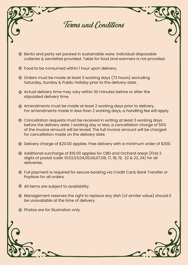

- \* Bento and party set packed in sustainable ware. Individual disposable cutleries & serviettes provided. Table for food and warmers is not provided.
- \* Food to be consumed within I hour upon delivery.
- \* Orders must be made at least 3 working days (72 hours) excluding Saturday, Sunday & Public Holiday prior to the delivery date.
- Actual delivery time may vary within 30 minutes before or after the stipulated delivery time.
- Amendments must be made at least 2 working days prior to delivery. For amendments made in less than 2 working days, a handling fee will apply.
- \* Cancellation requests must be received in writing at least 3 working days before the delivery date. 1 working day or less, a cancellation charge of 50% of the invoice amount will be levied. The full invoice amount will be charged for cancellation made on the delivery date.
- \* Delivery charge of \$20.00 applies. Free delivery with a minimum order of \$300.
- Additional surcharge of \$10.00 applies for CBD and Orchard areas (First 2 digits of postal code: 01,02,03,04,05,06,07,08, 17, 18, 19, 22 & 23, 24) for all deliveries.
- \* Full payment is required for secure booking via Credit Card, Bank Transfer or PayNow for all orders.
- \* All items are subject to availability.
- \* Management reserves the right to replace any dish (of similar value) should it be unavailable at the time of delivery.
- \* Photos are for illustration only.